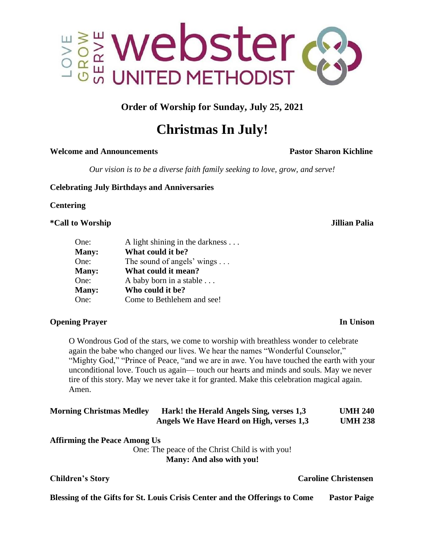

**Order of Worship for Sunday, July 25, 2021**

# **Christmas In July!**

### **Welcome and Announcements Pastor Sharon Kichline**

*Our vision is to be a diverse faith family seeking to love, grow, and serve!*

**Celebrating July Birthdays and Anniversaries**

**Centering** 

**\*Call to Worship Jillian Palia**

| One:         | A light shining in the darkness $\dots$ |  |
|--------------|-----------------------------------------|--|
| <b>Many:</b> | What could it be?                       |  |
| One:         | The sound of angels' wings $\dots$      |  |
| <b>Many:</b> | What could it mean?                     |  |
| One:         | A baby born in a stable                 |  |
| <b>Many:</b> | Who could it be?                        |  |
| One:         | Come to Bethlehem and see!              |  |

# **Opening Prayer** In Unison

O Wondrous God of the stars, we come to worship with breathless wonder to celebrate again the babe who changed our lives. We hear the names "Wonderful Counselor," "Mighty God," "Prince of Peace, "and we are in awe. You have touched the earth with your unconditional love. Touch us again— touch our hearts and minds and souls. May we never tire of this story. May we never take it for granted. Make this celebration magical again. Amen.

| <b>Morning Christmas Medley</b> | Hark! the Herald Angels Sing, verses 1,3 | <b>UMH 240</b> |
|---------------------------------|------------------------------------------|----------------|
|                                 | Angels We Have Heard on High, verses 1,3 | <b>UMH 238</b> |

| <b>Affirming the Peace Among Us</b> |
|-------------------------------------|
|-------------------------------------|

One: The peace of the Christ Child is with you! **Many: And also with you!**

# **Children's Story Caroline Christensen**

**Blessing of the Gifts for St. Louis Crisis Center and the Offerings to Come Pastor Paige**